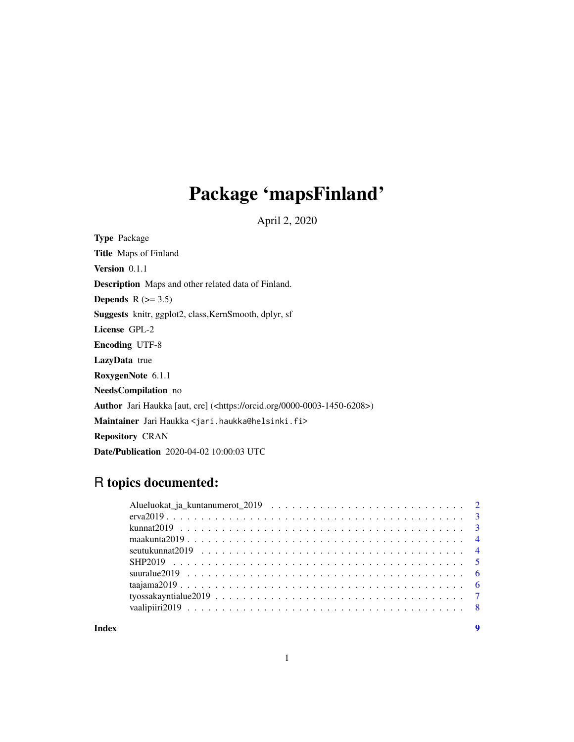# Package 'mapsFinland'

April 2, 2020

Type Package Title Maps of Finland Version 0.1.1 Description Maps and other related data of Finland. Depends  $R$  ( $> = 3.5$ ) Suggests knitr, ggplot2, class,KernSmooth, dplyr, sf License GPL-2 Encoding UTF-8 LazyData true RoxygenNote 6.1.1 NeedsCompilation no Author Jari Haukka [aut, cre] (<https://orcid.org/0000-0003-1450-6208>) Maintainer Jari Haukka <jari.haukka@helsinki.fi> Repository CRAN Date/Publication 2020-04-02 10:00:03 UTC

# R topics documented:

**Index** [9](#page-8-0)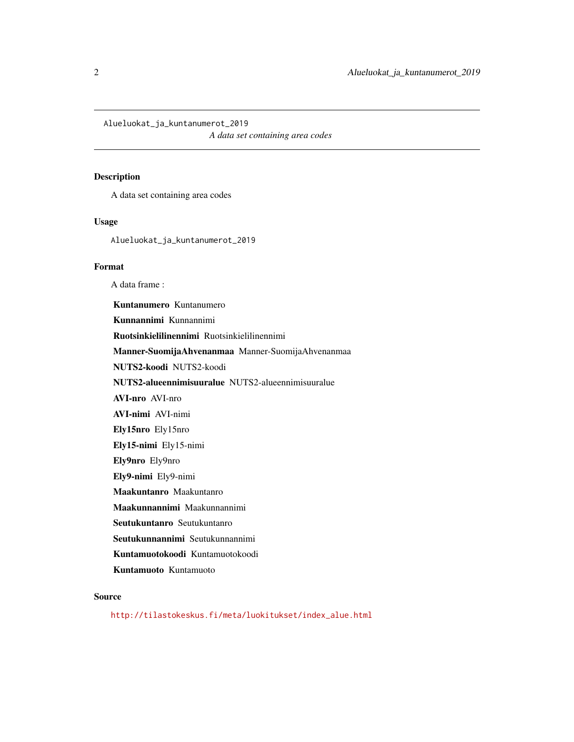<span id="page-1-0"></span>Alueluokat\_ja\_kuntanumerot\_2019

*A data set containing area codes*

#### Description

A data set containing area codes

#### Usage

Alueluokat\_ja\_kuntanumerot\_2019

#### Format

A data frame :

Kuntanumero Kuntanumero Kunnannimi Kunnannimi Ruotsinkielilinennimi Ruotsinkielilinennimi Manner-SuomijaAhvenanmaa Manner-SuomijaAhvenanmaa NUTS2-koodi NUTS2-koodi NUTS2-alueennimisuuralue NUTS2-alueennimisuuralue AVI-nro AVI-nro AVI-nimi AVI-nimi Ely15nro Ely15nro Ely15-nimi Ely15-nimi Ely9nro Ely9nro Ely9-nimi Ely9-nimi Maakuntanro Maakuntanro Maakunnannimi Maakunnannimi Seutukuntanro Seutukuntanro Seutukunnannimi Seutukunnannimi Kuntamuotokoodi Kuntamuotokoodi

Kuntamuoto Kuntamuoto

#### Source

[http://tilastokeskus.fi/meta/luokitukset/index\\_alue.html](http://tilastokeskus.fi/meta/luokitukset/index_alue.html)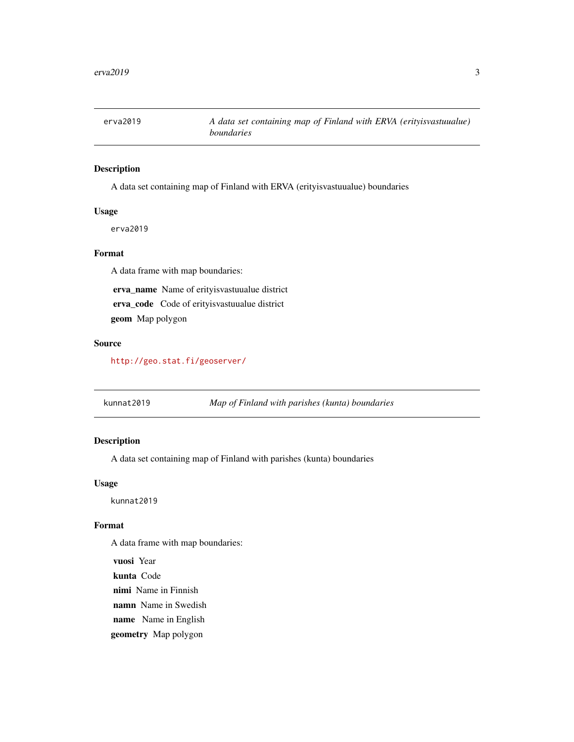<span id="page-2-0"></span>

# Description

A data set containing map of Finland with ERVA (erityisvastuualue) boundaries

# Usage

erva2019

# Format

A data frame with map boundaries:

erva\_name Name of erityisvastuualue district

erva\_code Code of erityisvastuualue district

geom Map polygon

#### Source

<http://geo.stat.fi/geoserver/>

kunnat2019 *Map of Finland with parishes (kunta) boundaries*

# Description

A data set containing map of Finland with parishes (kunta) boundaries

## Usage

kunnat2019

# Format

A data frame with map boundaries:

vuosi Year kunta Code nimi Name in Finnish namn Name in Swedish name Name in English geometry Map polygon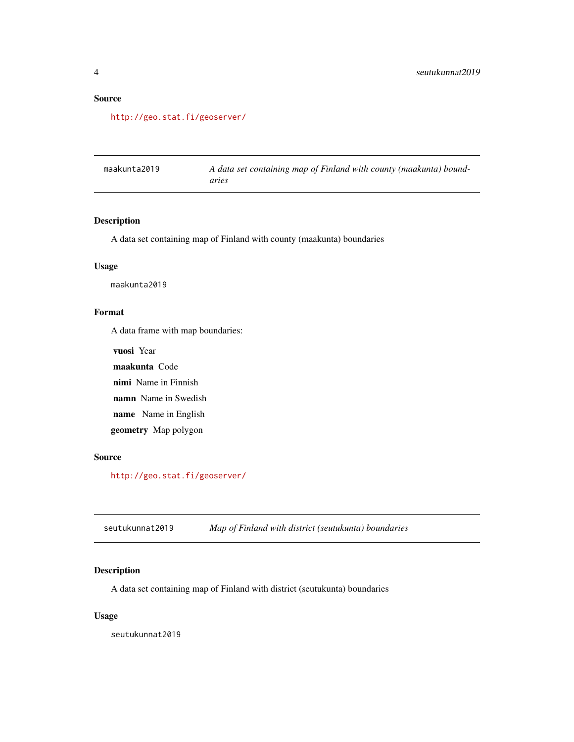# <span id="page-3-0"></span>Source

<http://geo.stat.fi/geoserver/>

| maakunta2019 | A data set containing map of Finland with county (maakunta) bound- |
|--------------|--------------------------------------------------------------------|
|              | aries                                                              |

# Description

A data set containing map of Finland with county (maakunta) boundaries

#### Usage

maakunta2019

# Format

A data frame with map boundaries:

vuosi Year maakunta Code

nimi Name in Finnish

namn Name in Swedish

name Name in English

geometry Map polygon

#### Source

<http://geo.stat.fi/geoserver/>

seutukunnat2019 *Map of Finland with district (seutukunta) boundaries*

# Description

A data set containing map of Finland with district (seutukunta) boundaries

#### Usage

seutukunnat2019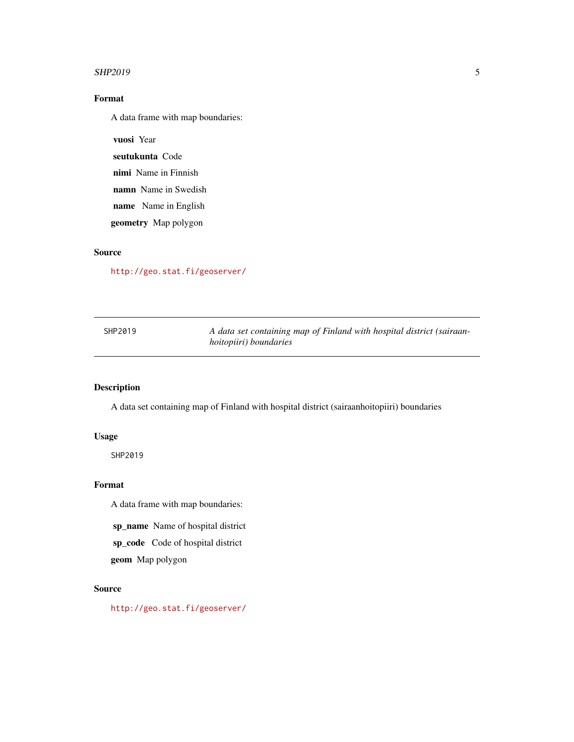#### <span id="page-4-0"></span> $SHP2019$  5

# Format

A data frame with map boundaries:

vuosi Year

seutukunta Code

nimi Name in Finnish

namn Name in Swedish

name Name in English

geometry Map polygon

# Source

<http://geo.stat.fi/geoserver/>

| SHP2019 | A data set containing map of Finland with hospital district (sairaan- |
|---------|-----------------------------------------------------------------------|
|         | <i>hoitopiiri</i> ) <i>boundaries</i>                                 |

# Description

A data set containing map of Finland with hospital district (sairaanhoitopiiri) boundaries

# Usage

SHP2019

# Format

A data frame with map boundaries:

sp\_name Name of hospital district

sp\_code Code of hospital district

geom Map polygon

#### Source

<http://geo.stat.fi/geoserver/>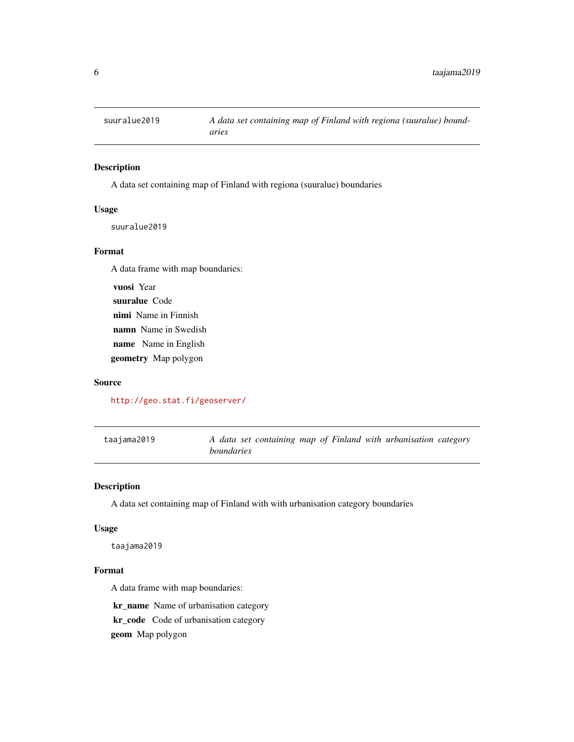<span id="page-5-0"></span>

#### Description

A data set containing map of Finland with regiona (suuralue) boundaries

#### Usage

suuralue2019

#### Format

A data frame with map boundaries:

vuosi Year suuralue Code nimi Name in Finnish namn Name in Swedish name Name in English geometry Map polygon

#### Source

#### <http://geo.stat.fi/geoserver/>

taajama2019 *A data set containing map of Finland with urbanisation category boundaries*

# Description

A data set containing map of Finland with with urbanisation category boundaries

#### Usage

taajama2019

#### Format

A data frame with map boundaries:

kr\_name Name of urbanisation category kr\_code Code of urbanisation category geom Map polygon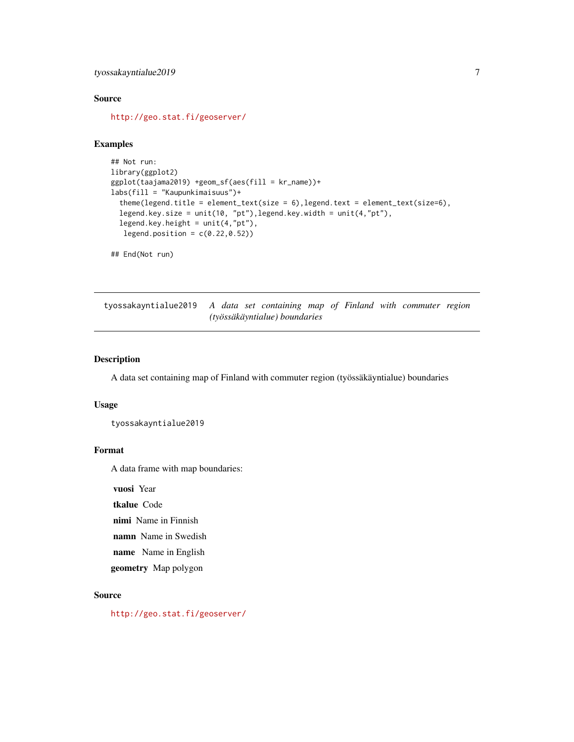# <span id="page-6-0"></span>tyossakayntialue2019 7

# Source

<http://geo.stat.fi/geoserver/>

#### Examples

```
## Not run:
library(ggplot2)
ggplot(taajama2019) +geom_sf(aes(fill = kr_name))+
labs(fill = "Kaupunkimaisuus")+
  theme(legend.title = element_text(size = 6), legend.text = element_text(size=6),
  legend.key.size = unit(10, "pt"),legend.key.width = unit(4,"pt"),
  legend.key.height = unit(4, "pt"),
  legend.position = c(0.22, 0.52)
```
## End(Not run)

tyossakayntialue2019 *A data set containing map of Finland with commuter region (työssäkäyntialue) boundaries*

# Description

A data set containing map of Finland with commuter region (työssäkäyntialue) boundaries

#### Usage

```
tyossakayntialue2019
```
#### Format

A data frame with map boundaries:

vuosi Year

tkalue Code

nimi Name in Finnish

namn Name in Swedish

name Name in English

geometry Map polygon

# Source

<http://geo.stat.fi/geoserver/>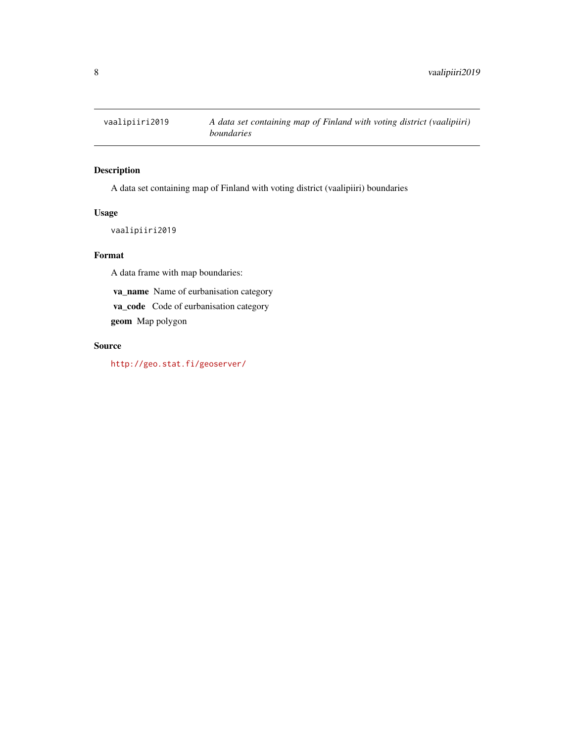<span id="page-7-0"></span>

# Description

A data set containing map of Finland with voting district (vaalipiiri) boundaries

# Usage

vaalipiiri2019

#### Format

A data frame with map boundaries:

va\_name Name of eurbanisation category

va\_code Code of eurbanisation category

geom Map polygon

# Source

<http://geo.stat.fi/geoserver/>